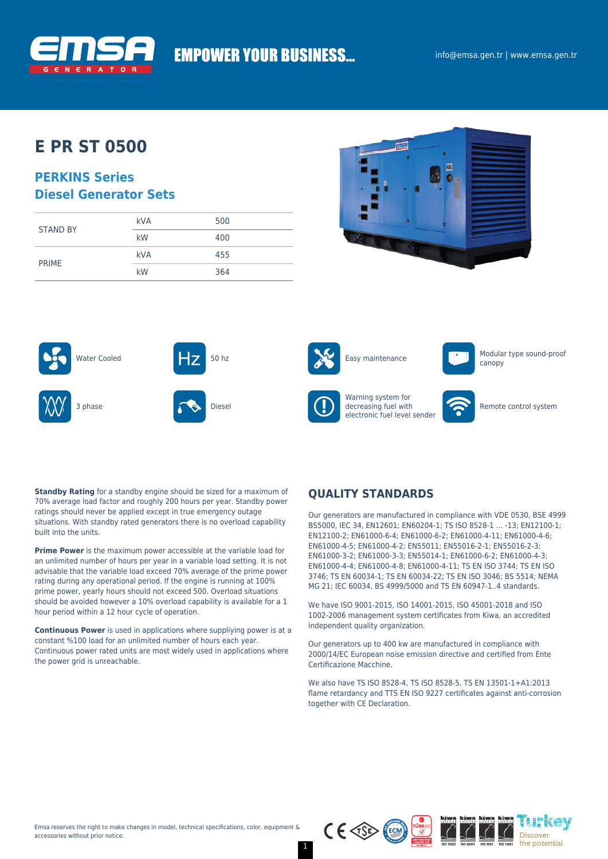

# **EMPOWER YOUR BUSINESS...**

## **E PR ST 0500**

### **PERKINS Series Diesel Generator Sets**

| <b>STAND BY</b> | <b>kVA</b> | 500 |
|-----------------|------------|-----|
|                 | kW         | 400 |
|                 | <b>kVA</b> | 455 |
| <b>PRIME</b>    | kW         | 364 |











canopy







Warning system for decreasing fuel with electronic fuel level sender



Remote control system

**Standby Rating** for a standby engine should be sized for a maximum of 70% average load factor and roughly 200 hours per year. Standby power ratings should never be applied except in true emergency outage situations. With standby rated generators there is no overload capability built into the units.

**Prime Power** is the maximum power accessible at the variable load for an unlimited number of hours per year in a variable load setting. It is not advisable that the variable load exceed 70% average of the prime power rating during any operational period. If the engine is running at 100% prime power, yearly hours should not exceed 500. Overload situations should be avoided however a 10% overload capability is available for a 1 hour period within a 12 hour cycle of operation.

**Continuous Power** is used in applications where suppliying power is at a constant %100 load for an unlimited number of hours each year. Continuous power rated units are most widely used in applications where the power grid is unreachable.

### **QUALITY STANDARDS**

Our generators are manufactured in compliance with VDE 0530, BSE 4999 BS5000, IEC 34, EN12601; EN60204-1; TS ISO 8528-1 … -13; EN12100-1; EN12100-2; EN61000-6-4; EN61000-6-2; EN61000-4-11; EN61000-4-6; EN61000-4-5; EN61000-4-2; EN55011; EN55016-2-1; EN55016-2-3; EN61000-3-2; EN61000-3-3; EN55014-1; EN61000-6-2; EN61000-4-3; EN61000-4-4; EN61000-4-8; EN61000-4-11; TS EN ISO 3744; TS EN ISO 3746; TS EN 60034-1; TS EN 60034-22; TS EN ISO 3046; BS 5514; NEMA MG 21; IEC 60034, BS 4999/5000 and TS EN 60947-1..4 standards.

We have ISO 9001-2015, ISO 14001-2015, ISO 45001-2018 and ISO 1002-2006 management system certificates from Kiwa, an accredited independent quality organization.

Our generators up to 400 kw are manufactured in compliance with 2000/14/EC European noise emission directive and certified from Ente Certificazione Macchine.

We also have TS ISO 8528-4, TS ISO 8528-5, TS EN 13501-1+A1:2013 flame retardancy and TTS EN ISO 9227 certificates against anti-corrosion together with CE Declaration.



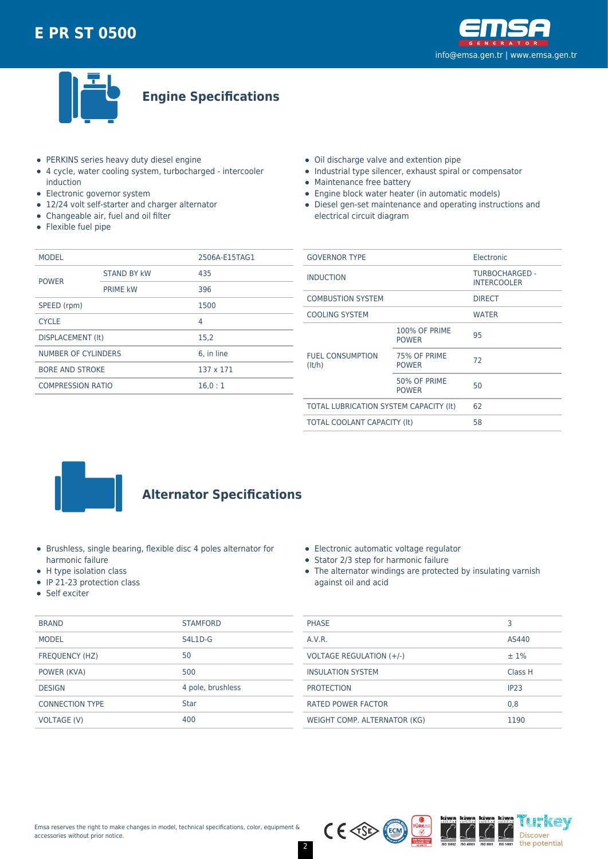



**Engine Specifications**

- PERKINS series heavy duty diesel engine
- 4 cycle, water cooling system, turbocharged intercooler induction
- Electronic governor system
- 12/24 volt self-starter and charger alternator
- Changeable air, fuel and oil filter
- Flexible fuel pipe
- Oil discharge valve and extention pipe
- Industrial type silencer, exhaust spiral or compensator
- Maintenance free battery
- Engine block water heater (in automatic models)
- Diesel gen-set maintenance and operating instructions and electrical circuit diagram

| <b>MODEL</b>             |                    | 2506A-E15TAG1 |  |
|--------------------------|--------------------|---------------|--|
| <b>POWER</b>             | <b>STAND BY kW</b> | 435           |  |
|                          | <b>PRIME kW</b>    | 396           |  |
| SPEED (rpm)              |                    | 1500          |  |
| <b>CYCLE</b>             |                    | 4             |  |
| DISPLACEMENT (It)        |                    | 15,2          |  |
| NUMBER OF CYLINDERS      |                    | 6, in line    |  |
| <b>BORE AND STROKE</b>   |                    | 137 x 171     |  |
| <b>COMPRESSION RATIO</b> |                    | 16.0:1        |  |
|                          |                    |               |  |

| <b>GOVERNOR TYPE</b>                   |                                      | Electronic                           |  |
|----------------------------------------|--------------------------------------|--------------------------------------|--|
| <b>INDUCTION</b>                       |                                      | TURBOCHARGED -<br><b>INTERCOOLER</b> |  |
| <b>COMBUSTION SYSTEM</b>               |                                      | <b>DIRECT</b>                        |  |
| <b>COOLING SYSTEM</b>                  |                                      | <b>WATER</b>                         |  |
| <b>FUEL CONSUMPTION</b><br>(lt/h)      | <b>100% OF PRIME</b><br><b>POWER</b> | 95                                   |  |
|                                        | 75% OF PRIME<br><b>POWER</b>         | 72                                   |  |
|                                        | 50% OF PRIME<br><b>POWER</b>         | 50                                   |  |
| TOTAL LUBRICATION SYSTEM CAPACITY (It) |                                      | 62                                   |  |
| TOTAL COOLANT CAPACITY (It)            |                                      | 58                                   |  |
|                                        |                                      |                                      |  |



## **Alternator Specifications**

- Brushless, single bearing, flexible disc 4 poles alternator for harmonic failure
- H type isolation class
- $\bullet$  IP 21-23 protection class
- Self exciter

| <b>BRAND</b>           | <b>STAMFORD</b>   |
|------------------------|-------------------|
| <b>MODEL</b>           | $S4L1D-G$         |
| FREQUENCY (HZ)         | 50                |
| POWER (KVA)            | 500               |
| <b>DESIGN</b>          | 4 pole, brushless |
| <b>CONNECTION TYPE</b> | Star              |
| VOLTAGE (V)            | 400               |

|  | Electronic automatic voltage regulator |  |
|--|----------------------------------------|--|
|  |                                        |  |

- Stator 2/3 step for harmonic failure
- The alternator windings are protected by insulating varnish against oil and acid

| <b>PHASE</b>                    | З                |
|---------------------------------|------------------|
| A.V.R.                          | AS440            |
| <b>VOLTAGE REGULATION (+/-)</b> | $±1\%$           |
| <b>INSULATION SYSTEM</b>        | Class H          |
| <b>PROTECTION</b>               | IP <sub>23</sub> |
| <b>RATED POWER FACTOR</b>       | 0,8              |
| WEIGHT COMP. ALTERNATOR (KG)    | 1190             |

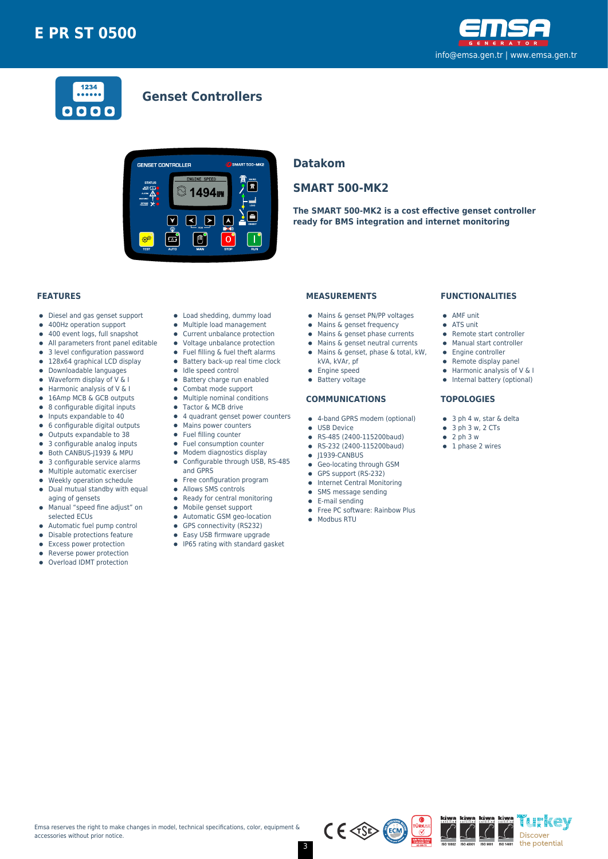



### **Genset Controllers**



### **Datakom**

### **SMART 500-MK2**

**The SMART 500-MK2 is a cost effective genset controller ready for BMS integration and internet monitoring**

#### **FEATURES**

- Diesel and gas genset support  $\bullet$
- 400Hz operation support  $\bullet$
- $\bullet$ 400 event logs, full snapshot
- All parameters front panel editable  $\bullet$
- 3 level configuration password
- 128x64 graphical LCD display  $\bullet$
- Downloadable languages
- $\bullet$ Waveform display of V & I  $\bullet$
- Harmonic analysis of V & I 16Amp MCB & GCB outputs
- 8 configurable digital inputs  $\bullet$
- $\bullet$ Inputs expandable to 40
- 6 configurable digital outputs  $\bullet$
- Outputs expandable to 38  $\bullet$
- 3 configurable analog inputs
- Both CANBUS-J1939 & MPU  $\bullet$
- 3 configurable service alarms  $\bullet$
- $\bullet$ Multiple automatic exerciser
- Weekly operation schedule  $\blacksquare$
- $\bullet$ Dual mutual standby with equal aging of gensets
- Manual "speed fine adjust" on  $\bullet$ selected ECUs
- 
- Automatic fuel pump control  $\bullet$
- $\bullet$ Disable protections feature
- Excess power protection
- Reverse power protection  $\bullet$
- Overload IDMT protection
- Load shedding, dummy load
- Multiple load management  $\bullet$
- Current unbalance protection
- Voltage unbalance protection
- $\bullet$ Fuel filling & fuel theft alarms
- $\bullet$  Battery back-up real time clock
- $\bullet$  Idle speed control
- **•** Battery charge run enabled
- $\bullet$ Combat mode support
- $\bullet$ Multiple nominal conditions
- Tactor & MCB drive
- 4 quadrant genset power counters
- Mains power counters
- Fuel filling counter
- $\bullet$ Fuel consumption counter  $\bullet$
- Modem diagnostics display Configurable through USB, RS-485  $\bullet$
- and GPRS
- Free configuration program
- $\bullet$ Allows SMS controls
- $\bullet$ Ready for central monitoring
- Mobile genset support
- $\bullet$
- Automatic GSM geo-location  $\bullet$
- $\bullet$ GPS connectivity (RS232)
- $\bullet$ Easy USB firmware upgrade
- IP65 rating with standard gasket

#### **MEASUREMENTS**

- Mains & genset PN/PP voltages
- Mains & genset frequency
- $\bullet$  Mains & genset phase currents
- Mains & genset neutral currents  $\bullet$
- Mains & genset, phase & total, kW,
- kVA, kVAr, pf
- 
- **•** Engine speed
- **•** Battery voltage

#### **COMMUNICATIONS**

- 4-band GPRS modem (optional)
- **CONTRACTE OF LISR Device**
- RS-485 (2400-115200baud)
- RS-232 (2400-115200baud)  $\bullet$
- $\bullet$  J1939-CANBUS
- **Geo-locating through GSM**
- GPS support (RS-232)
- **•** Internet Central Monitoring
- SMS message sending  $\bullet$
- E-mail sending
- Free PC software: Rainbow Plus
- Modbus RTU

#### **FUNCTIONALITIES**

- AMF unit
- ATS unit
- Remote start controller
- Manual start controller
- Engine controller
- $\bullet$  Remote display panel
- $\bullet$  Harmonic analysis of V & I
- Internal battery (optional)

'i h'kev

Discover the potential

#### **TOPOLOGIES**

- 3 ph 4 w, star & delta
- $\bullet$  3 ph 3 w, 2 CTs
- $\bullet$  2 ph 3 w
- $\bullet$  1 phase 2 wires

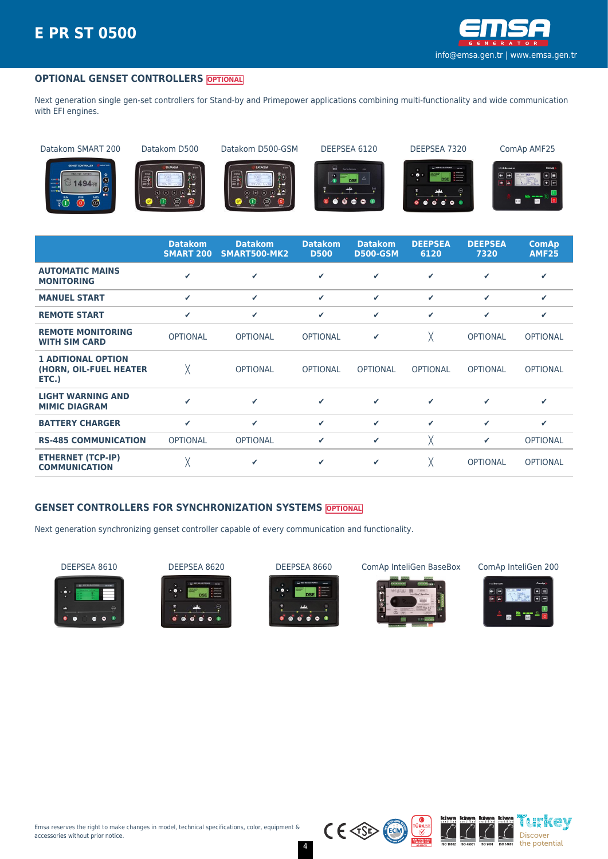

#### **OPTIONAL GENSET CONTROLLERS OPTIONAL**

Next generation single gen-set controllers for Stand-by and Primepower applications combining multi-functionality and wide communication with EFI engines.

Datakom SMART 200 Datakom D500 Datakom D500-GSM DEEPSEA 6120 DEEPSEA 7320 ComAp AMF25



















|                                                              | <b>Datakom</b><br><b>SMART 200</b> | <b>Datakom</b><br>SMART500-MK2 | <b>Datakom</b><br><b>D500</b> | <b>Datakom</b><br><b>D500-GSM</b> | <b>DEEPSEA</b><br>6120 | <b>DEEPSEA</b><br>7320 | <b>ComAp</b><br><b>AMF25</b> |
|--------------------------------------------------------------|------------------------------------|--------------------------------|-------------------------------|-----------------------------------|------------------------|------------------------|------------------------------|
| <b>AUTOMATIC MAINS</b><br><b>MONITORING</b>                  | ✔                                  | $\checkmark$                   | ✓                             | ✓                                 | ✔                      | ✓                      | ✔                            |
| <b>MANUEL START</b>                                          | ✓                                  | $\checkmark$                   | ✓                             | ✓                                 | ✓                      | ✔                      | ✔                            |
| <b>REMOTE START</b>                                          | ✓                                  | $\checkmark$                   | ✓                             | ✓                                 | ✓                      | ✓                      | ✓                            |
| <b>REMOTE MONITORING</b><br><b>WITH SIM CARD</b>             | <b>OPTIONAL</b>                    | <b>OPTIONAL</b>                | <b>OPTIONAL</b>               | ✔                                 | χ                      | <b>OPTIONAL</b>        | <b>OPTIONAL</b>              |
| <b>1 ADITIONAL OPTION</b><br>(HORN, OIL-FUEL HEATER<br>ETC.) | χ                                  | <b>OPTIONAL</b>                | <b>OPTIONAL</b>               | <b>OPTIONAL</b>                   | <b>OPTIONAL</b>        | <b>OPTIONAL</b>        | <b>OPTIONAL</b>              |
| <b>LIGHT WARNING AND</b><br><b>MIMIC DIAGRAM</b>             | J                                  | ✓                              | ✓                             | ✔                                 | ✓                      | ✔                      | ✔                            |
| <b>BATTERY CHARGER</b>                                       | ✓                                  | $\checkmark$                   | ✓                             | ✓                                 | ✓                      | $\checkmark$           | ✔                            |
| <b>RS-485 COMMUNICATION</b>                                  | <b>OPTIONAL</b>                    | <b>OPTIONAL</b>                | ✓                             | ✓                                 | χ                      | ✔                      | <b>OPTIONAL</b>              |
| <b>ETHERNET (TCP-IP)</b><br><b>COMMUNICATION</b>             | χ                                  | ✔                              | ✓                             | ✓                                 |                        | <b>OPTIONAL</b>        | <b>OPTIONAL</b>              |

#### **GENSET CONTROLLERS FOR SYNCHRONIZATION SYSTEMS OPTIONAL**

Next generation synchronizing genset controller capable of every communication and functionality.









DEEPSEA 8610 DEEPSEA 8620 DEEPSEA 8660 ComAp InteliGen BaseBox ComAp InteliGen 200